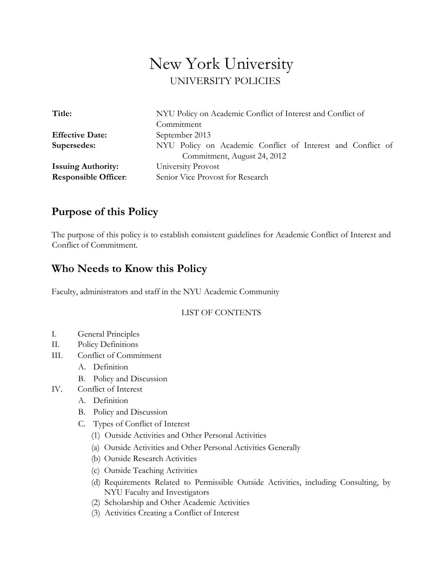# New York University<br>UNIVERSITY POLICIES

| Title:                      | NYU Policy on Academic Conflict of Interest and Conflict of |
|-----------------------------|-------------------------------------------------------------|
|                             | Commitment                                                  |
| <b>Effective Date:</b>      | September 2013                                              |
| Supersedes:                 | NYU Policy on Academic Conflict of Interest and Conflict of |
|                             | Commitment, August 24, 2012                                 |
| <b>Issuing Authority:</b>   | University Provost                                          |
| <b>Responsible Officer:</b> | Senior Vice Provost for Research                            |

# **Purpose of this Policy**

The purpose of this policy is to establish consistent guidelines for Academic Conflict of Interest and Conflict of Commitment.

# **Who Needs to Know this Policy**

Faculty, administrators and staff in the NYU Academic Community

# LIST OF CONTENTS

- I. General Principles
- II. Policy Definitions
- III. Conflict of Commitment
	- A. Definition
	- B. Policy and Discussion
- IV. Conflict of Interest
	- A. Definition
	- B. Policy and Discussion
	- C. Types of Conflict of Interest
		- (1) Outside Activities and Other Personal Activities
		- (a) Outside Activities and Other Personal Activities Generally
		- (b) Outside Research Activities
		- (c) Outside Teaching Activities
		- (d) Requirements Related to Permissible Outside Activities, including Consulting, by NYU Faculty and Investigators
		- (2) Scholarship and Other Academic Activities
		- (3) Activities Creating a Conflict of Interest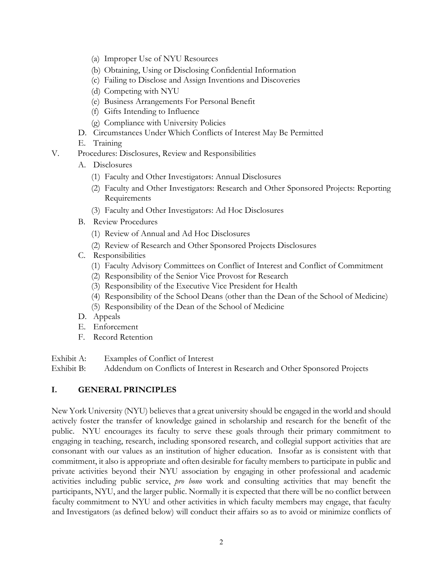- (a) Improper Use of NYU Resources
- (b) Obtaining, Using or Disclosing Confidential Information
- (c) Failing to Disclose and Assign Inventions and Discoveries
- (d) Competing with NYU
- (e) Business Arrangements For Personal Benefit
- (f) Gifts Intending to Influence
- (g) Compliance with University Policies
- D. Circumstances Under Which Conflicts of Interest May Be Permitted
- E. Training
- V. Procedures: Disclosures, Review and Responsibilities
	- A. Disclosures
		- (1) Faculty and Other Investigators: Annual Disclosures
		- (2) Faculty and Other Investigators: Research and Other Sponsored Projects: Reporting Requirements
		- (3) Faculty and Other Investigators: Ad Hoc Disclosures
	- B. Review Procedures
		- (1) Review of Annual and Ad Hoc Disclosures
		- (2) Review of Research and Other Sponsored Projects Disclosures
	- C. Responsibilities
		- (1) Faculty Advisory Committees on Conflict of Interest and Conflict of Commitment
		- (2) Responsibility of the Senior Vice Provost for Research
		- (3) Responsibility of the Executive Vice President for Health
		- (4) Responsibility of the School Deans (other than the Dean of the School of Medicine)
		- (5) Responsibility of the Dean of the School of Medicine
	- D. Appeals
	- E. Enforcement
	- F. Record Retention
- Exhibit A: Examples of Conflict of Interest

Exhibit B: Addendum on Conflicts of Interest in Research and Other Sponsored Projects

# **I. GENERAL PRINCIPLES**

New York University (NYU) believes that a great university should be engaged in the world and should actively foster the transfer of knowledge gained in scholarship and research for the benefit of the public. NYU encourages its faculty to serve these goals through their primary commitment to engaging in teaching, research, including sponsored research, and collegial support activities that are consonant with our values as an institution of higher education. Insofar as is consistent with that commitment, it also is appropriate and often desirable for faculty members to participate in public and private activities beyond their NYU association by engaging in other professional and academic activities including public service, *pro bono* work and consulting activities that may benefit the participants, NYU, and the larger public. Normally it is expected that there will be no conflict between faculty commitment to NYU and other activities in which faculty members may engage, that faculty and Investigators (as defined below) will conduct their affairs so as to avoid or minimize conflicts of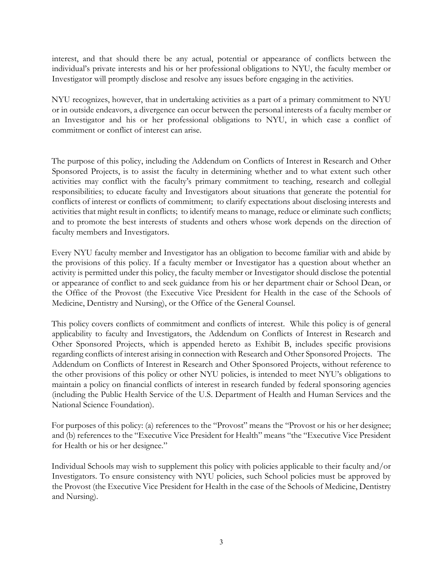interest, and that should there be any actual, potential or appearance of conflicts between the individual's private interests and his or her professional obligations to NYU, the faculty member or Investigator will promptly disclose and resolve any issues before engaging in the activities.

NYU recognizes, however, that in undertaking activities as a part of a primary commitment to NYU or in outside endeavors, a divergence can occur between the personal interests of a faculty member or an Investigator and his or her professional obligations to NYU, in which case a conflict of commitment or conflict of interest can arise.

The purpose of this policy, including the Addendum on Conflicts of Interest in Research and Other Sponsored Projects, is to assist the faculty in determining whether and to what extent such other activities may conflict with the faculty's primary commitment to teaching, research and collegial responsibilities; to educate faculty and Investigators about situations that generate the potential for conflicts of interest or conflicts of commitment; to clarify expectations about disclosing interests and activities that might result in conflicts; to identify means to manage, reduce or eliminate such conflicts; and to promote the best interests of students and others whose work depends on the direction of faculty members and Investigators.

Every NYU faculty member and Investigator has an obligation to become familiar with and abide by the provisions of this policy. If a faculty member or Investigator has a question about whether an activity is permitted under this policy, the faculty member or Investigator should disclose the potential or appearance of conflict to and seek guidance from his or her department chair or School Dean, or the Office of the Provost (the Executive Vice President for Health in the case of the Schools of Medicine, Dentistry and Nursing), or the Office of the General Counsel.

This policy covers conflicts of commitment and conflicts of interest. While this policy is of general applicability to faculty and Investigators, the Addendum on Conflicts of Interest in Research and Other Sponsored Projects, which is appended hereto as Exhibit B, includes specific provisions regarding conflicts of interest arising in connection with Research and Other Sponsored Projects. The Addendum on Conflicts of Interest in Research and Other Sponsored Projects, without reference to the other provisions of this policy or other NYU policies, is intended to meet NYU's obligations to maintain a policy on financial conflicts of interest in research funded by federal sponsoring agencies (including the Public Health Service of the U.S. Department of Health and Human Services and the National Science Foundation).

For purposes of this policy: (a) references to the "Provost" means the "Provost or his or her designee; and (b) references to the "Executive Vice President for Health" means "the "Executive Vice President for Health or his or her designee."

Individual Schools may wish to supplement this policy with policies applicable to their faculty and/or Investigators. To ensure consistency with NYU policies, such School policies must be approved by the Provost (the Executive Vice President for Health in the case of the Schools of Medicine, Dentistry and Nursing).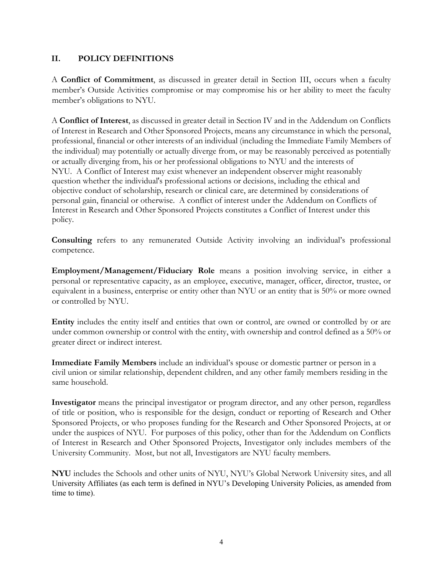#### **II. POLICY DEFINITIONS**

A **Conflict of Commitment**, as discussed in greater detail in Section III, occurs when a faculty member's Outside Activities compromise or may compromise his or her ability to meet the faculty member's obligations to NYU.

A **Conflict of Interest**, as discussed in greater detail in Section IV and in the Addendum on Conflicts of Interest in Research and Other Sponsored Projects, means any circumstance in which the personal, professional, financial or other interests of an individual (including the Immediate Family Members of the individual) may potentially or actually diverge from, or may be reasonably perceived as potentially or actually diverging from, his or her professional obligations to NYU and the interests of NYU. A Conflict of Interest may exist whenever an independent observer might reasonably question whether the individual's professional actions or decisions, including the ethical and objective conduct of scholarship, research or clinical care, are determined by considerations of personal gain, financial or otherwise. A conflict of interest under the Addendum on Conflicts of Interest in Research and Other Sponsored Projects constitutes a Conflict of Interest under this policy.

**Consulting** refers to any remunerated Outside Activity involving an individual's professional competence.

**Employment/Management/Fiduciary Role** means a position involving service, in either a personal or representative capacity, as an employee, executive, manager, officer, director, trustee, or equivalent in a business, enterprise or entity other than NYU or an entity that is 50% or more owned or controlled by NYU.

**Entity** includes the entity itself and entities that own or control, are owned or controlled by or are under common ownership or control with the entity, with ownership and control defined as a 50% or greater direct or indirect interest.

**Immediate Family Members** include an individual's spouse or domestic partner or person in a civil union or similar relationship, dependent children, and any other family members residing in the same household.

**Investigator** means the principal investigator or program director, and any other person, regardless of title or position, who is responsible for the design, conduct or reporting of Research and Other Sponsored Projects, or who proposes funding for the Research and Other Sponsored Projects, at or under the auspices of NYU. For purposes of this policy, other than for the Addendum on Conflicts of Interest in Research and Other Sponsored Projects, Investigator only includes members of the University Community. Most, but not all, Investigators are NYU faculty members.

**NYU** includes the Schools and other units of NYU, NYU's Global Network University sites, and all University Affiliates (as each term is defined in NYU's Developing University Policies, as amended from time to time).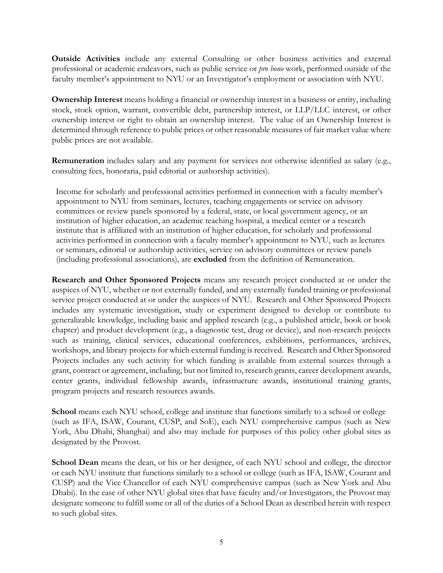**Outside Activities** include any external Consulting or other business activities and external professional or academic endeavors, such as public service or *pro bono* work, performed outside of the faculty member's appointment to NYU or an Investigator's employment or association with NYU.

**Ownership Interest** means holding a financial or ownership interest in a business or entity, including stock, stock option, warrant, convertible debt, partnership interest, or LLP/LLC interest, or other ownership interest or right to obtain an ownership interest. The value of an Ownership Interest is determined through reference to public prices or other reasonable measures of fair market value where public prices are not available.

**Remuneration** includes salary and any payment for services not otherwise identified as salary (e.g., consulting fees, honoraria, paid editorial or authorship activities).

Income for scholarly and professional activities performed in connection with a faculty member's appointment to NYU from seminars, lectures, teaching engagements or service on advisory committees or review panels sponsored by a federal, state, or local government agency, or an institution of higher education, an academic teaching hospital, a medical center or a research institute that is affiliated with an institution of higher education, for scholarly and professional activities performed in connection with a faculty member's appointment to NYU, such as lectures or seminars, editorial or authorship activities, service on advisory committees or review panels (including professional associations), are **excluded** from the definition of Remuneration.

**Research and Other Sponsored Projects** means any research project conducted at or under the auspices of NYU, whether or not externally funded, and any externally funded training or professional service project conducted at or under the auspices of NYU. Research and Other Sponsored Projects includes any systematic investigation, study or experiment designed to develop or contribute to generalizable knowledge, including basic and applied research (e.g., a published article, book or book chapter) and product development (e.g., a diagnostic test, drug or device), and non-research projects such as training, clinical services, educational conferences, exhibitions, performances, archives, workshops, and library projects for which external funding is received. Research and Other Sponsored Projects includes any such activity for which funding is available from external sources through a grant, contract or agreement, including, but not limited to, research grants, career development awards, center grants, individual fellowship awards, infrastructure awards, institutional training grants, program projects and research resources awards.

**School** means each NYU school, college and institute that functions similarly to a school or college (such as IFA, ISAW, Courant, CUSP, and SoE), each NYU comprehensive campus (such as New York, Abu Dhabi, Shanghai) and also may include for purposes of this policy other global sites as designated by the Provost.

**School Dean** means the dean, or his or her designee, of each NYU school and college, the director or each NYU institute that functions similarly to a school or college (such as IFA, ISAW, Courant and CUSP) and the Vice Chancellor of each NYU comprehensive campus (such as New York and Abu Dhabi). In the case of other NYU global sites that have faculty and/or Investigators, the Provost may designate someone to fulfill some or all of the duties of a School Dean as described herein with respect to such global sites.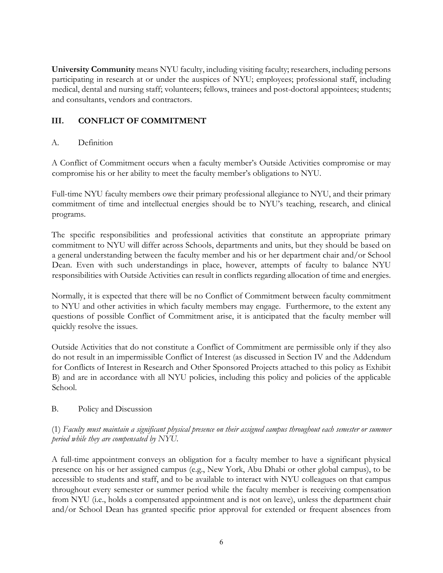**University Community** means NYU faculty, including visiting faculty; researchers, including persons participating in research at or under the auspices of NYU; employees; professional staff, including medical, dental and nursing staff; volunteers; fellows, trainees and post-doctoral appointees; students; and consultants, vendors and contractors.

# **III. CONFLICT OF COMMITMENT**

#### A. Definition

A Conflict of Commitment occurs when a faculty member's Outside Activities compromise or may compromise his or her ability to meet the faculty member's obligations to NYU.

Full-time NYU faculty members owe their primary professional allegiance to NYU, and their primary commitment of time and intellectual energies should be to NYU's teaching, research, and clinical programs.

The specific responsibilities and professional activities that constitute an appropriate primary commitment to NYU will differ across Schools, departments and units, but they should be based on a general understanding between the faculty member and his or her department chair and/or School Dean. Even with such understandings in place, however, attempts of faculty to balance NYU responsibilities with Outside Activities can result in conflicts regarding allocation of time and energies.

Normally, it is expected that there will be no Conflict of Commitment between faculty commitment to NYU and other activities in which faculty members may engage. Furthermore, to the extent any questions of possible Conflict of Commitment arise, it is anticipated that the faculty member will quickly resolve the issues.

Outside Activities that do not constitute a Conflict of Commitment are permissible only if they also do not result in an impermissible Conflict of Interest (as discussed in Section IV and the Addendum for Conflicts of Interest in Research and Other Sponsored Projects attached to this policy as Exhibit B) and are in accordance with all NYU policies, including this policy and policies of the applicable School.

#### B. Policy and Discussion

#### (1) *Faculty must maintain a significant physical presence on their assigned campus throughout each semester or summer period while they are compensated by NYU.*

A full-time appointment conveys an obligation for a faculty member to have a significant physical presence on his or her assigned campus (e.g., New York, Abu Dhabi or other global campus), to be accessible to students and staff, and to be available to interact with NYU colleagues on that campus throughout every semester or summer period while the faculty member is receiving compensation from NYU (i.e., holds a compensated appointment and is not on leave), unless the department chair and/or School Dean has granted specific prior approval for extended or frequent absences from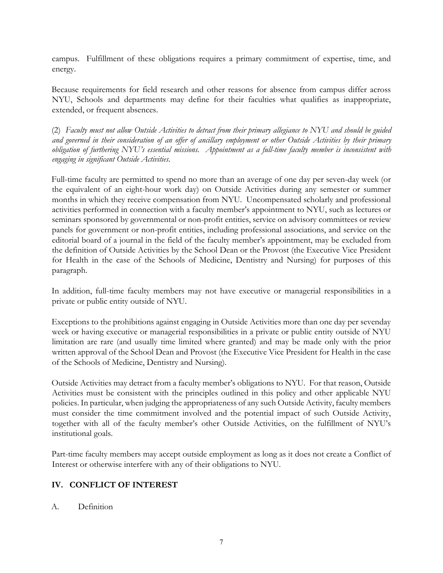campus. Fulfillment of these obligations requires a primary commitment of expertise, time, and energy.

Because requirements for field research and other reasons for absence from campus differ across NYU, Schools and departments may define for their faculties what qualifies as inappropriate, extended, or frequent absences.

(2) *Faculty must not allow Outside Activities to detract from their primary allegiance to NYU and should be guided and governed in their consideration of an offer of ancillary employment or other Outside Activities by their primary obligation of furthering NYU's essential missions. Appointment as a full-time faculty member is inconsistent with engaging in significant Outside Activities*.

Full-time faculty are permitted to spend no more than an average of one day per seven-day week (or the equivalent of an eight-hour work day) on Outside Activities during any semester or summer months in which they receive compensation from NYU. Uncompensated scholarly and professional activities performed in connection with a faculty member's appointment to NYU, such as lectures or seminars sponsored by governmental or non-profit entities, service on advisory committees or review panels for government or non-profit entities, including professional associations, and service on the editorial board of a journal in the field of the faculty member's appointment, may be excluded from the definition of Outside Activities by the School Dean or the Provost (the Executive Vice President for Health in the case of the Schools of Medicine, Dentistry and Nursing) for purposes of this paragraph.

In addition, full-time faculty members may not have executive or managerial responsibilities in a private or public entity outside of NYU.

Exceptions to the prohibitions against engaging in Outside Activities more than one day per sevenday week or having executive or managerial responsibilities in a private or public entity outside of NYU limitation are rare (and usually time limited where granted) and may be made only with the prior written approval of the School Dean and Provost (the Executive Vice President for Health in the case of the Schools of Medicine, Dentistry and Nursing).

Outside Activities may detract from a faculty member's obligations to NYU. For that reason, Outside Activities must be consistent with the principles outlined in this policy and other applicable NYU policies. In particular, when judging the appropriateness of any such Outside Activity, faculty members must consider the time commitment involved and the potential impact of such Outside Activity, together with all of the faculty member's other Outside Activities, on the fulfillment of NYU's institutional goals.

Part-time faculty members may accept outside employment as long as it does not create a Conflict of Interest or otherwise interfere with any of their obligations to NYU.

# **IV. CONFLICT OF INTEREST**

#### A. Definition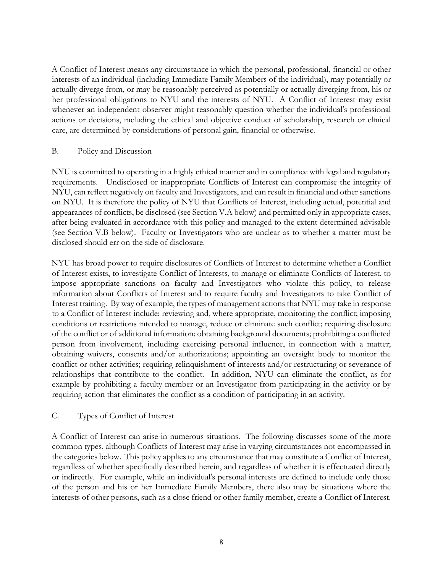A Conflict of Interest means any circumstance in which the personal, professional, financial or other interests of an individual (including Immediate Family Members of the individual), may potentially or actually diverge from, or may be reasonably perceived as potentially or actually diverging from, his or her professional obligations to NYU and the interests of NYU. A Conflict of Interest may exist whenever an independent observer might reasonably question whether the individual's professional actions or decisions, including the ethical and objective conduct of scholarship, research or clinical care, are determined by considerations of personal gain, financial or otherwise.

#### B. Policy and Discussion

NYU is committed to operating in a highly ethical manner and in compliance with legal and regulatory requirements. Undisclosed or inappropriate Conflicts of Interest can compromise the integrity of NYU, can reflect negatively on faculty and Investigators, and can result in financial and other sanctions on NYU. It is therefore the policy of NYU that Conflicts of Interest, including actual, potential and appearances of conflicts, be disclosed (see Section V.A below) and permitted only in appropriate cases, after being evaluated in accordance with this policy and managed to the extent determined advisable (see Section V.B below). Faculty or Investigators who are unclear as to whether a matter must be disclosed should err on the side of disclosure.

NYU has broad power to require disclosures of Conflicts of Interest to determine whether a Conflict of Interest exists, to investigate Conflict of Interests, to manage or eliminate Conflicts of Interest, to impose appropriate sanctions on faculty and Investigators who violate this policy, to release information about Conflicts of Interest and to require faculty and Investigators to take Conflict of Interest training. By way of example, the types of management actions that NYU may take in response to a Conflict of Interest include: reviewing and, where appropriate, monitoring the conflict; imposing conditions or restrictions intended to manage, reduce or eliminate such conflict; requiring disclosure of the conflict or of additional information; obtaining background documents; prohibiting a conflicted person from involvement, including exercising personal influence, in connection with a matter; obtaining waivers, consents and/or authorizations; appointing an oversight body to monitor the conflict or other activities; requiring relinquishment of interests and/or restructuring or severance of relationships that contribute to the conflict. In addition, NYU can eliminate the conflict, as for example by prohibiting a faculty member or an Investigator from participating in the activity or by requiring action that eliminates the conflict as a condition of participating in an activity.

# C. Types of Conflict of Interest

A Conflict of Interest can arise in numerous situations. The following discusses some of the more common types, although Conflicts of Interest may arise in varying circumstances not encompassed in the categories below. This policy applies to any circumstance that may constitute a Conflict of Interest, regardless of whether specifically described herein, and regardless of whether it is effectuated directly or indirectly. For example, while an individual's personal interests are defined to include only those of the person and his or her Immediate Family Members, there also may be situations where the interests of other persons, such as a close friend or other family member, create a Conflict of Interest.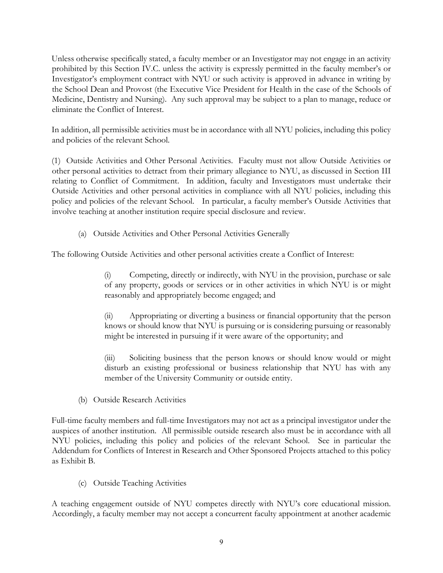Unless otherwise specifically stated, a faculty member or an Investigator may not engage in an activity prohibited by this Section IV.C. unless the activity is expressly permitted in the faculty member's or Investigator's employment contract with NYU or such activity is approved in advance in writing by the School Dean and Provost (the Executive Vice President for Health in the case of the Schools of Medicine, Dentistry and Nursing). Any such approval may be subject to a plan to manage, reduce or eliminate the Conflict of Interest.

In addition, all permissible activities must be in accordance with all NYU policies, including this policy and policies of the relevant School.

(1) Outside Activities and Other Personal Activities. Faculty must not allow Outside Activities or other personal activities to detract from their primary allegiance to NYU, as discussed in Section III relating to Conflict of Commitment. In addition, faculty and Investigators must undertake their Outside Activities and other personal activities in compliance with all NYU policies, including this policy and policies of the relevant School. In particular, a faculty member's Outside Activities that involve teaching at another institution require special disclosure and review.

(a) Outside Activities and Other Personal Activities Generally

The following Outside Activities and other personal activities create a Conflict of Interest:

(i) Competing, directly or indirectly, with NYU in the provision, purchase or sale of any property, goods or services or in other activities in which NYU is or might reasonably and appropriately become engaged; and

(ii) Appropriating or diverting a business or financial opportunity that the person knows or should know that NYU is pursuing or is considering pursuing or reasonably might be interested in pursuing if it were aware of the opportunity; and

(iii) Soliciting business that the person knows or should know would or might disturb an existing professional or business relationship that NYU has with any member of the University Community or outside entity.

(b) Outside Research Activities

Full-time faculty members and full-time Investigators may not act as a principal investigator under the auspices of another institution. All permissible outside research also must be in accordance with all NYU policies, including this policy and policies of the relevant School. See in particular the Addendum for Conflicts of Interest in Research and Other Sponsored Projects attached to this policy as Exhibit B.

(c) Outside Teaching Activities

A teaching engagement outside of NYU competes directly with NYU's core educational mission. Accordingly, a faculty member may not accept a concurrent faculty appointment at another academic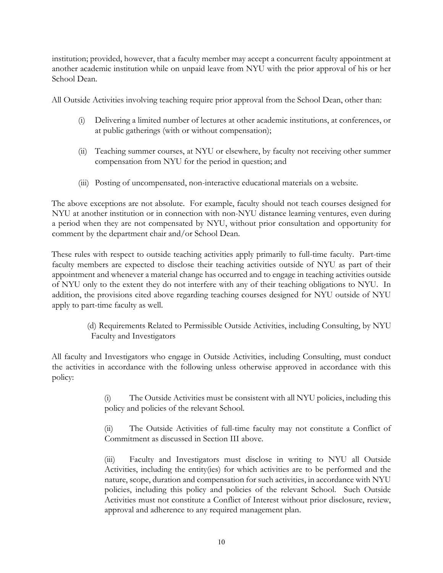institution; provided, however, that a faculty member may accept a concurrent faculty appointment at another academic institution while on unpaid leave from NYU with the prior approval of his or her School Dean.

All Outside Activities involving teaching require prior approval from the School Dean, other than:

- (i) Delivering a limited number of lectures at other academic institutions, at conferences, or at public gatherings (with or without compensation);
- (ii) Teaching summer courses, at NYU or elsewhere, by faculty not receiving other summer compensation from NYU for the period in question; and
- (iii) Posting of uncompensated, non-interactive educational materials on a website.

The above exceptions are not absolute. For example, faculty should not teach courses designed for NYU at another institution or in connection with non-NYU distance learning ventures, even during a period when they are not compensated by NYU, without prior consultation and opportunity for comment by the department chair and/or School Dean.

These rules with respect to outside teaching activities apply primarily to full-time faculty. Part-time faculty members are expected to disclose their teaching activities outside of NYU as part of their appointment and whenever a material change has occurred and to engage in teaching activities outside of NYU only to the extent they do not interfere with any of their teaching obligations to NYU. In addition, the provisions cited above regarding teaching courses designed for NYU outside of NYU apply to part-time faculty as well.

> (d) Requirements Related to Permissible Outside Activities, including Consulting, by NYU Faculty and Investigators

All faculty and Investigators who engage in Outside Activities, including Consulting, must conduct the activities in accordance with the following unless otherwise approved in accordance with this policy:

> (i) The Outside Activities must be consistent with all NYU policies, including this policy and policies of the relevant School.

> (ii) The Outside Activities of full-time faculty may not constitute a Conflict of Commitment as discussed in Section III above.

> (iii) Faculty and Investigators must disclose in writing to NYU all Outside Activities, including the entity(ies) for which activities are to be performed and the nature, scope, duration and compensation for such activities, in accordance with NYU policies, including this policy and policies of the relevant School. Such Outside Activities must not constitute a Conflict of Interest without prior disclosure, review, approval and adherence to any required management plan.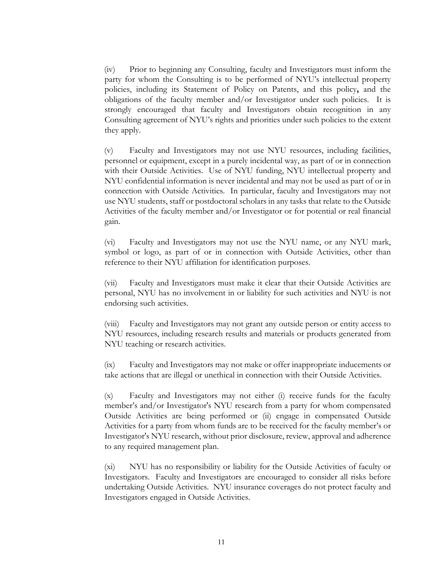(iv) Prior to beginning any Consulting, faculty and Investigators must inform the party for whom the Consulting is to be performed of NYU's intellectual property policies, including its Statement of Policy on Patents, and this policy**,** and the obligations of the faculty member and/or Investigator under such policies. It is strongly encouraged that faculty and Investigators obtain recognition in any Consulting agreement of NYU's rights and priorities under such policies to the extent they apply.

(v) Faculty and Investigators may not use NYU resources, including facilities, personnel or equipment, except in a purely incidental way, as part of or in connection with their Outside Activities. Use of NYU funding, NYU intellectual property and NYU confidential information is never incidental and may not be used as part of or in connection with Outside Activities. In particular, faculty and Investigators may not use NYU students, staff or postdoctoral scholars in any tasks that relate to the Outside Activities of the faculty member and/or Investigator or for potential or real financial gain.

(vi) Faculty and Investigators may not use the NYU name, or any NYU mark, symbol or logo, as part of or in connection with Outside Activities, other than reference to their NYU affiliation for identification purposes.

(vii) Faculty and Investigators must make it clear that their Outside Activities are personal, NYU has no involvement in or liability for such activities and NYU is not endorsing such activities.

(viii) Faculty and Investigators may not grant any outside person or entity access to NYU resources, including research results and materials or products generated from NYU teaching or research activities.

(ix) Faculty and Investigators may not make or offer inappropriate inducements or take actions that are illegal or unethical in connection with their Outside Activities.

(x) Faculty and Investigators may not either (i) receive funds for the faculty member's and/or Investigator's NYU research from a party for whom compensated Outside Activities are being performed or (ii) engage in compensated Outside Activities for a party from whom funds are to be received for the faculty member's or Investigator's NYU research, without prior disclosure, review, approval and adherence to any required management plan.

(xi) NYU has no responsibility or liability for the Outside Activities of faculty or Investigators. Faculty and Investigators are encouraged to consider all risks before undertaking Outside Activities. NYU insurance coverages do not protect faculty and Investigators engaged in Outside Activities.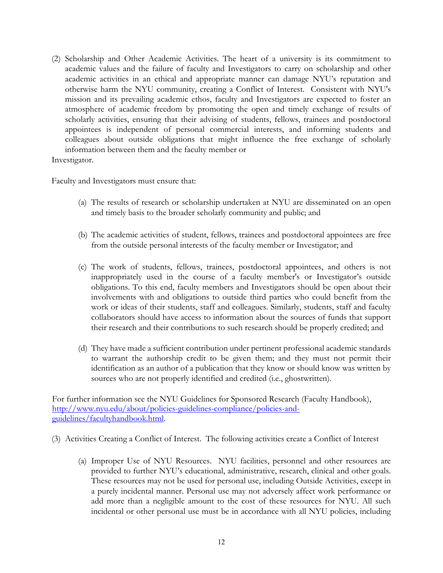(2) Scholarship and Other Academic Activities. The heart of a university is its commitment to academic values and the failure of faculty and Investigators to carry on scholarship and other academic activities in an ethical and appropriate manner can damage NYU's reputation and otherwise harm the NYU community, creating a Conflict of Interest. Consistent with NYU's mission and its prevailing academic ethos, faculty and Investigators are expected to foster an atmosphere of academic freedom by promoting the open and timely exchange of results of scholarly activities, ensuring that their advising of students, fellows, trainees and postdoctoral appointees is independent of personal commercial interests, and informing students and colleagues about outside obligations that might influence the free exchange of scholarly information between them and the faculty member or

Investigator.

Faculty and Investigators must ensure that:

- (a) The results of research or scholarship undertaken at NYU are disseminated on an open and timely basis to the broader scholarly community and public; and
- (b) The academic activities of student, fellows, trainees and postdoctoral appointees are free from the outside personal interests of the faculty member or Investigator; and
- (c) The work of students, fellows, trainees, postdoctoral appointees, and others is not inappropriately used in the course of a faculty member's or Investigator's outside obligations. To this end, faculty members and Investigators should be open about their involvements with and obligations to outside third parties who could benefit from the work or ideas of their students, staff and colleagues. Similarly, students, staff and faculty collaborators should have access to information about the sources of funds that support their research and their contributions to such research should be properly credited; and
- (d) They have made a sufficient contribution under pertinent professional academic standards to warrant the authorship credit to be given them; and they must not permit their identification as an author of a publication that they know or should know was written by sources who are not properly identified and credited (i.e., ghostwritten).

For further information see the NYU Guidelines for Sponsored Research (Faculty Handbook), http://www.nyu.edu/about/policies-guidelines-compliance/policies-andguidelines/facultyhandbook.html.

- (3) Activities Creating a Conflict of Interest. The following activities create a Conflict of Interest
	- (a) Improper Use of NYU Resources. NYU facilities, personnel and other resources are provided to further NYU's educational, administrative, research, clinical and other goals. These resources may not be used for personal use, including Outside Activities, except in a purely incidental manner. Personal use may not adversely affect work performance or add more than a negligible amount to the cost of these resources for NYU. All such incidental or other personal use must be in accordance with all NYU policies, including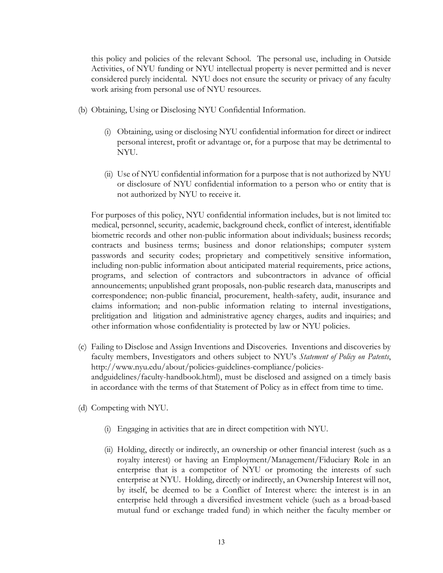this policy and policies of the relevant School. The personal use, including in Outside Activities, of NYU funding or NYU intellectual property is never permitted and is never considered purely incidental. NYU does not ensure the security or privacy of any faculty work arising from personal use of NYU resources.

- (b) Obtaining, Using or Disclosing NYU Confidential Information.
	- (i) Obtaining, using or disclosing NYU confidential information for direct or indirect personal interest, profit or advantage or, for a purpose that may be detrimental to NYU.
	- (ii) Use of NYU confidential information for a purpose that is not authorized by NYU or disclosure of NYU confidential information to a person who or entity that is not authorized by NYU to receive it.

For purposes of this policy, NYU confidential information includes, but is not limited to: medical, personnel, security, academic, background check, conflict of interest, identifiable biometric records and other non-public information about individuals; business records; contracts and business terms; business and donor relationships; computer system passwords and security codes; proprietary and competitively sensitive information, including non-public information about anticipated material requirements, price actions, programs, and selection of contractors and subcontractors in advance of official announcements; unpublished grant proposals, non-public research data, manuscripts and correspondence; non-public financial, procurement, health-safety, audit, insurance and claims information; and non-public information relating to internal investigations, prelitigation and litigation and administrative agency charges, audits and inquiries; and other information whose confidentiality is protected by law or NYU policies.

- (c) Failing to Disclose and Assign Inventions and Discoveries*.* Inventions and discoveries by faculty members, Investigators and others subject to NYU's *Statement of Policy on Patents*, http://www.nyu.edu/about/policies-guidelines-compliance/policiesandguidelines/faculty-handbook.html), must be disclosed and assigned on a timely basis in accordance with the terms of that Statement of Policy as in effect from time to time.
- (d) Competing with NYU.
	- (i) Engaging in activities that are in direct competition with NYU.
	- (ii) Holding, directly or indirectly, an ownership or other financial interest (such as a royalty interest) or having an Employment/Management/Fiduciary Role in an enterprise that is a competitor of NYU or promoting the interests of such enterprise at NYU. Holding, directly or indirectly, an Ownership Interest will not, by itself, be deemed to be a Conflict of Interest where: the interest is in an enterprise held through a diversified investment vehicle (such as a broad-based mutual fund or exchange traded fund) in which neither the faculty member or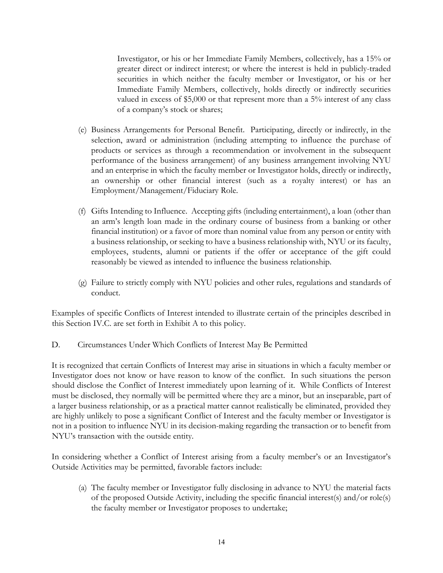Investigator, or his or her Immediate Family Members, collectively, has a 15% or greater direct or indirect interest; or where the interest is held in publicly-traded securities in which neither the faculty member or Investigator, or his or her Immediate Family Members, collectively, holds directly or indirectly securities valued in excess of \$5,000 or that represent more than a 5% interest of any class of a company's stock or shares;

- (e) Business Arrangements for Personal Benefit. Participating, directly or indirectly, in the selection, award or administration (including attempting to influence the purchase of products or services as through a recommendation or involvement in the subsequent performance of the business arrangement) of any business arrangement involving NYU and an enterprise in which the faculty member or Investigator holds, directly or indirectly, an ownership or other financial interest (such as a royalty interest) or has an Employment/Management/Fiduciary Role.
- (f) Gifts Intending to Influence. Accepting gifts (including entertainment), a loan (other than an arm's length loan made in the ordinary course of business from a banking or other financial institution) or a favor of more than nominal value from any person or entity with a business relationship, or seeking to have a business relationship with, NYU or its faculty, employees, students, alumni or patients if the offer or acceptance of the gift could reasonably be viewed as intended to influence the business relationship.
- (g) Failure to strictly comply with NYU policies and other rules, regulations and standards of conduct.

Examples of specific Conflicts of Interest intended to illustrate certain of the principles described in this Section IV.C. are set forth in Exhibit A to this policy.

D. Circumstances Under Which Conflicts of Interest May Be Permitted

It is recognized that certain Conflicts of Interest may arise in situations in which a faculty member or Investigator does not know or have reason to know of the conflict. In such situations the person should disclose the Conflict of Interest immediately upon learning of it. While Conflicts of Interest must be disclosed, they normally will be permitted where they are a minor, but an inseparable, part of a larger business relationship, or as a practical matter cannot realistically be eliminated, provided they are highly unlikely to pose a significant Conflict of Interest and the faculty member or Investigator is not in a position to influence NYU in its decision-making regarding the transaction or to benefit from NYU's transaction with the outside entity.

In considering whether a Conflict of Interest arising from a faculty member's or an Investigator's Outside Activities may be permitted, favorable factors include:

(a) The faculty member or Investigator fully disclosing in advance to NYU the material facts of the proposed Outside Activity, including the specific financial interest(s) and/or role(s) the faculty member or Investigator proposes to undertake;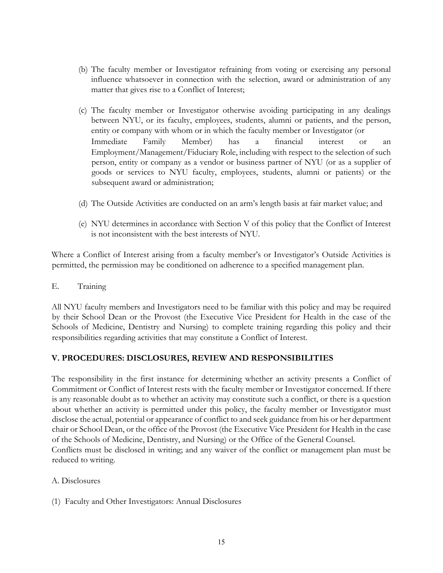- (b) The faculty member or Investigator refraining from voting or exercising any personal influence whatsoever in connection with the selection, award or administration of any matter that gives rise to a Conflict of Interest;
- (c) The faculty member or Investigator otherwise avoiding participating in any dealings between NYU, or its faculty, employees, students, alumni or patients, and the person, entity or company with whom or in which the faculty member or Investigator (or Immediate Family Member) has a financial interest or an Employment/Management/Fiduciary Role, including with respect to the selection of such person, entity or company as a vendor or business partner of NYU (or as a supplier of goods or services to NYU faculty, employees, students, alumni or patients) or the subsequent award or administration;
- (d) The Outside Activities are conducted on an arm's length basis at fair market value; and
- (e) NYU determines in accordance with Section V of this policy that the Conflict of Interest is not inconsistent with the best interests of NYU.

Where a Conflict of Interest arising from a faculty member's or Investigator's Outside Activities is permitted, the permission may be conditioned on adherence to a specified management plan.

#### E. Training

All NYU faculty members and Investigators need to be familiar with this policy and may be required by their School Dean or the Provost (the Executive Vice President for Health in the case of the Schools of Medicine, Dentistry and Nursing) to complete training regarding this policy and their responsibilities regarding activities that may constitute a Conflict of Interest.

#### **V. PROCEDURES: DISCLOSURES, REVIEW AND RESPONSIBILITIES**

The responsibility in the first instance for determining whether an activity presents a Conflict of Commitment or Conflict of Interest rests with the faculty member or Investigator concerned. If there is any reasonable doubt as to whether an activity may constitute such a conflict, or there is a question about whether an activity is permitted under this policy, the faculty member or Investigator must disclose the actual, potential or appearance of conflict to and seek guidance from his or her department chair or School Dean, or the office of the Provost (the Executive Vice President for Health in the case of the Schools of Medicine, Dentistry, and Nursing) or the Office of the General Counsel. Conflicts must be disclosed in writing; and any waiver of the conflict or management plan must be reduced to writing.

#### A. Disclosures

(1) Faculty and Other Investigators: Annual Disclosures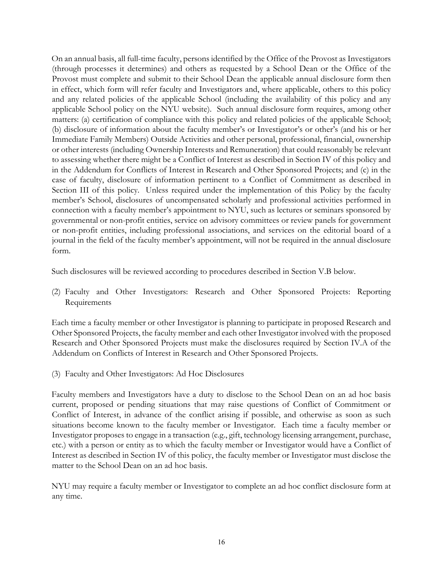On an annual basis, all full-time faculty, persons identified by the Office of the Provost as Investigators (through processes it determines) and others as requested by a School Dean or the Office of the Provost must complete and submit to their School Dean the applicable annual disclosure form then in effect, which form will refer faculty and Investigators and, where applicable, others to this policy and any related policies of the applicable School (including the availability of this policy and any applicable School policy on the NYU website). Such annual disclosure form requires, among other matters: (a) certification of compliance with this policy and related policies of the applicable School; (b) disclosure of information about the faculty member's or Investigator's or other's (and his or her Immediate Family Members) Outside Activities and other personal, professional, financial, ownership or other interests (including Ownership Interests and Remuneration) that could reasonably be relevant to assessing whether there might be a Conflict of Interest as described in Section IV of this policy and in the Addendum for Conflicts of Interest in Research and Other Sponsored Projects; and (c) in the case of faculty, disclosure of information pertinent to a Conflict of Commitment as described in Section III of this policy*.* Unless required under the implementation of this Policy by the faculty member's School, disclosures of uncompensated scholarly and professional activities performed in connection with a faculty member's appointment to NYU, such as lectures or seminars sponsored by governmental or non-profit entities, service on advisory committees or review panels for government or non-profit entities, including professional associations, and services on the editorial board of a journal in the field of the faculty member's appointment, will not be required in the annual disclosure form.

Such disclosures will be reviewed according to procedures described in Section V.B below.

(2) Faculty and Other Investigators: Research and Other Sponsored Projects: Reporting Requirements

Each time a faculty member or other Investigator is planning to participate in proposed Research and Other Sponsored Projects, the faculty member and each other Investigator involved with the proposed Research and Other Sponsored Projects must make the disclosures required by Section IV.A of the Addendum on Conflicts of Interest in Research and Other Sponsored Projects.

(3) Faculty and Other Investigators: Ad Hoc Disclosures

Faculty members and Investigators have a duty to disclose to the School Dean on an ad hoc basis current, proposed or pending situations that may raise questions of Conflict of Commitment or Conflict of Interest, in advance of the conflict arising if possible, and otherwise as soon as such situations become known to the faculty member or Investigator. Each time a faculty member or Investigator proposes to engage in a transaction (e.g., gift, technology licensing arrangement, purchase, etc.) with a person or entity as to which the faculty member or Investigator would have a Conflict of Interest as described in Section IV of this policy, the faculty member or Investigator must disclose the matter to the School Dean on an ad hoc basis.

NYU may require a faculty member or Investigator to complete an ad hoc conflict disclosure form at any time.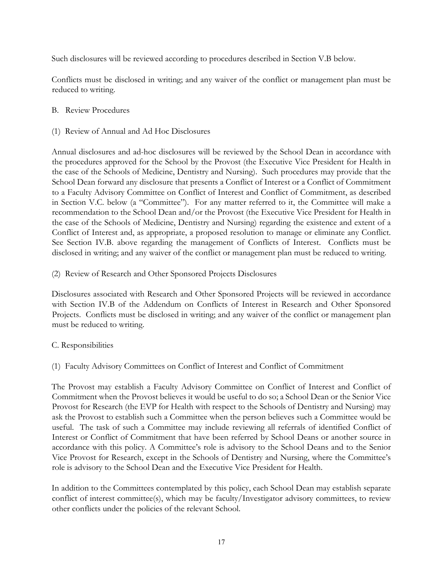Such disclosures will be reviewed according to procedures described in Section V.B below.

Conflicts must be disclosed in writing; and any waiver of the conflict or management plan must be reduced to writing.

#### B. Review Procedures

(1) Review of Annual and Ad Hoc Disclosures

Annual disclosures and ad-hoc disclosures will be reviewed by the School Dean in accordance with the procedures approved for the School by the Provost (the Executive Vice President for Health in the case of the Schools of Medicine, Dentistry and Nursing). Such procedures may provide that the School Dean forward any disclosure that presents a Conflict of Interest or a Conflict of Commitment to a Faculty Advisory Committee on Conflict of Interest and Conflict of Commitment, as described in Section V.C. below (a "Committee"). For any matter referred to it, the Committee will make a recommendation to the School Dean and/or the Provost (the Executive Vice President for Health in the case of the Schools of Medicine, Dentistry and Nursing) regarding the existence and extent of a Conflict of Interest and, as appropriate, a proposed resolution to manage or eliminate any Conflict. See Section IV.B. above regarding the management of Conflicts of Interest. Conflicts must be disclosed in writing; and any waiver of the conflict or management plan must be reduced to writing.

(2) Review of Research and Other Sponsored Projects Disclosures

Disclosures associated with Research and Other Sponsored Projects will be reviewed in accordance with Section IV.B of the Addendum on Conflicts of Interest in Research and Other Sponsored Projects. Conflicts must be disclosed in writing; and any waiver of the conflict or management plan must be reduced to writing.

#### C. Responsibilities

(1) Faculty Advisory Committees on Conflict of Interest and Conflict of Commitment

The Provost may establish a Faculty Advisory Committee on Conflict of Interest and Conflict of Commitment when the Provost believes it would be useful to do so; a School Dean or the Senior Vice Provost for Research (the EVP for Health with respect to the Schools of Dentistry and Nursing) may ask the Provost to establish such a Committee when the person believes such a Committee would be useful. The task of such a Committee may include reviewing all referrals of identified Conflict of Interest or Conflict of Commitment that have been referred by School Deans or another source in accordance with this policy. A Committee's role is advisory to the School Deans and to the Senior Vice Provost for Research, except in the Schools of Dentistry and Nursing, where the Committee's role is advisory to the School Dean and the Executive Vice President for Health.

In addition to the Committees contemplated by this policy, each School Dean may establish separate conflict of interest committee(s), which may be faculty/Investigator advisory committees, to review other conflicts under the policies of the relevant School.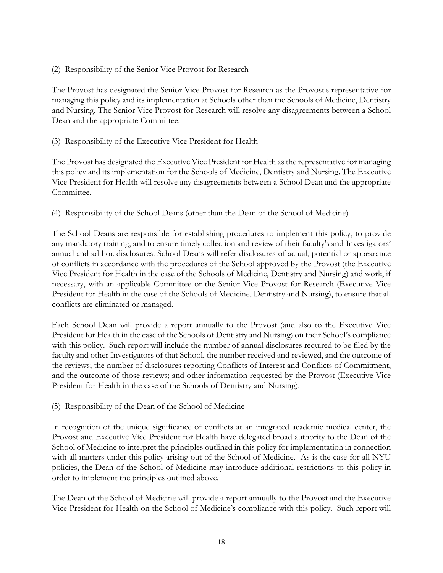(2) Responsibility of the Senior Vice Provost for Research

The Provost has designated the Senior Vice Provost for Research as the Provost's representative for managing this policy and its implementation at Schools other than the Schools of Medicine, Dentistry and Nursing. The Senior Vice Provost for Research will resolve any disagreements between a School Dean and the appropriate Committee.

(3) Responsibility of the Executive Vice President for Health

The Provost has designated the Executive Vice President for Health as the representative for managing this policy and its implementation for the Schools of Medicine, Dentistry and Nursing. The Executive Vice President for Health will resolve any disagreements between a School Dean and the appropriate Committee.

(4) Responsibility of the School Deans (other than the Dean of the School of Medicine)

The School Deans are responsible for establishing procedures to implement this policy, to provide any mandatory training, and to ensure timely collection and review of their faculty's and Investigators' annual and ad hoc disclosures. School Deans will refer disclosures of actual, potential or appearance of conflicts in accordance with the procedures of the School approved by the Provost (the Executive Vice President for Health in the case of the Schools of Medicine, Dentistry and Nursing) and work, if necessary, with an applicable Committee or the Senior Vice Provost for Research (Executive Vice President for Health in the case of the Schools of Medicine, Dentistry and Nursing), to ensure that all conflicts are eliminated or managed.

Each School Dean will provide a report annually to the Provost (and also to the Executive Vice President for Health in the case of the Schools of Dentistry and Nursing) on their School's compliance with this policy. Such report will include the number of annual disclosures required to be filed by the faculty and other Investigators of that School, the number received and reviewed, and the outcome of the reviews; the number of disclosures reporting Conflicts of Interest and Conflicts of Commitment, and the outcome of those reviews; and other information requested by the Provost (Executive Vice President for Health in the case of the Schools of Dentistry and Nursing).

(5) Responsibility of the Dean of the School of Medicine

In recognition of the unique significance of conflicts at an integrated academic medical center, the Provost and Executive Vice President for Health have delegated broad authority to the Dean of the School of Medicine to interpret the principles outlined in this policy for implementation in connection with all matters under this policy arising out of the School of Medicine. As is the case for all NYU policies, the Dean of the School of Medicine may introduce additional restrictions to this policy in order to implement the principles outlined above.

The Dean of the School of Medicine will provide a report annually to the Provost and the Executive Vice President for Health on the School of Medicine's compliance with this policy. Such report will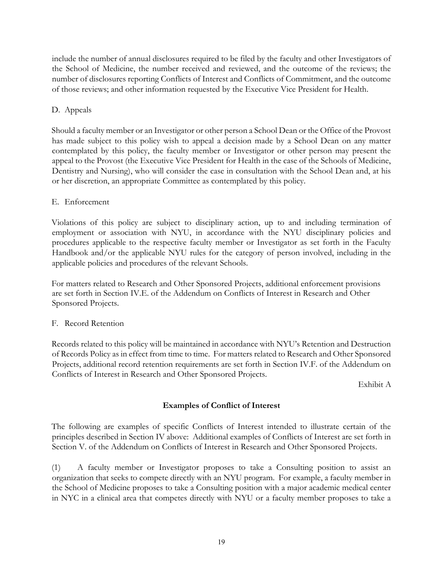include the number of annual disclosures required to be filed by the faculty and other Investigators of the School of Medicine, the number received and reviewed, and the outcome of the reviews; the number of disclosures reporting Conflicts of Interest and Conflicts of Commitment, and the outcome of those reviews; and other information requested by the Executive Vice President for Health.

#### D. Appeals

Should a faculty member or an Investigator or other person a School Dean or the Office of the Provost has made subject to this policy wish to appeal a decision made by a School Dean on any matter contemplated by this policy, the faculty member or Investigator or other person may present the appeal to the Provost (the Executive Vice President for Health in the case of the Schools of Medicine, Dentistry and Nursing), who will consider the case in consultation with the School Dean and, at his or her discretion, an appropriate Committee as contemplated by this policy.

#### E. Enforcement

Violations of this policy are subject to disciplinary action, up to and including termination of employment or association with NYU, in accordance with the NYU disciplinary policies and procedures applicable to the respective faculty member or Investigator as set forth in the Faculty Handbook and/or the applicable NYU rules for the category of person involved, including in the applicable policies and procedures of the relevant Schools.

For matters related to Research and Other Sponsored Projects, additional enforcement provisions are set forth in Section IV.E. of the Addendum on Conflicts of Interest in Research and Other Sponsored Projects.

#### F. Record Retention

Records related to this policy will be maintained in accordance with NYU's Retention and Destruction of Records Policy as in effect from time to time. For matters related to Research and Other Sponsored Projects, additional record retention requirements are set forth in Section IV.F. of the Addendum on Conflicts of Interest in Research and Other Sponsored Projects.

Exhibit A

# **Examples of Conflict of Interest**

The following are examples of specific Conflicts of Interest intended to illustrate certain of the principles described in Section IV above: Additional examples of Conflicts of Interest are set forth in Section V. of the Addendum on Conflicts of Interest in Research and Other Sponsored Projects.

(1) A faculty member or Investigator proposes to take a Consulting position to assist an organization that seeks to compete directly with an NYU program. For example, a faculty member in the School of Medicine proposes to take a Consulting position with a major academic medical center in NYC in a clinical area that competes directly with NYU or a faculty member proposes to take a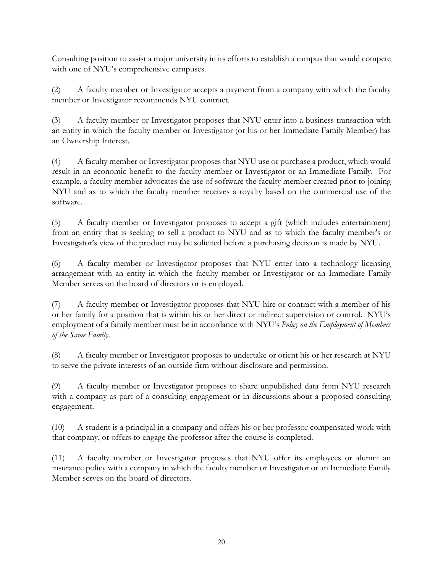Consulting position to assist a major university in its efforts to establish a campus that would compete with one of NYU's comprehensive campuses.

(2) A faculty member or Investigator accepts a payment from a company with which the faculty member or Investigator recommends NYU contract.

(3) A faculty member or Investigator proposes that NYU enter into a business transaction with an entity in which the faculty member or Investigator (or his or her Immediate Family Member) has an Ownership Interest.

(4) A faculty member or Investigator proposes that NYU use or purchase a product, which would result in an economic benefit to the faculty member or Investigator or an Immediate Family. For example, a faculty member advocates the use of software the faculty member created prior to joining NYU and as to which the faculty member receives a royalty based on the commercial use of the software.

(5) A faculty member or Investigator proposes to accept a gift (which includes entertainment) from an entity that is seeking to sell a product to NYU and as to which the faculty member's or Investigator's view of the product may be solicited before a purchasing decision is made by NYU.

(6) A faculty member or Investigator proposes that NYU enter into a technology licensing arrangement with an entity in which the faculty member or Investigator or an Immediate Family Member serves on the board of directors or is employed.

(7) A faculty member or Investigator proposes that NYU hire or contract with a member of his or her family for a position that is within his or her direct or indirect supervision or control. NYU's employment of a family member must be in accordance with NYU's *Policy on the Employment of Members of the Same Family*.

(8) A faculty member or Investigator proposes to undertake or orient his or her research at NYU to serve the private interests of an outside firm without disclosure and permission.

(9) A faculty member or Investigator proposes to share unpublished data from NYU research with a company as part of a consulting engagement or in discussions about a proposed consulting engagement.

(10) A student is a principal in a company and offers his or her professor compensated work with that company, or offers to engage the professor after the course is completed.

(11) A faculty member or Investigator proposes that NYU offer its employees or alumni an insurance policy with a company in which the faculty member or Investigator or an Immediate Family Member serves on the board of directors.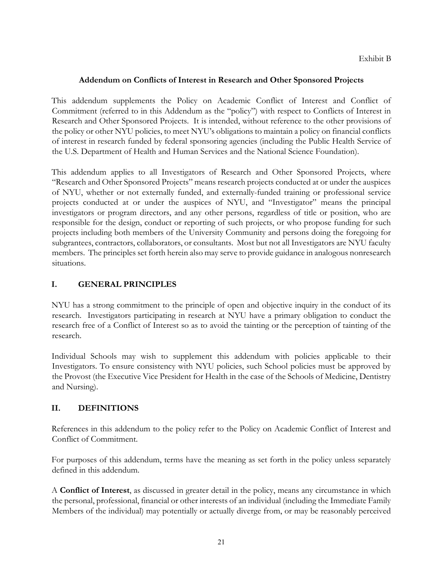#### **Addendum on Conflicts of Interest in Research and Other Sponsored Projects**

This addendum supplements the Policy on Academic Conflict of Interest and Conflict of Commitment (referred to in this Addendum as the "policy") with respect to Conflicts of Interest in Research and Other Sponsored Projects. It is intended, without reference to the other provisions of the policy or other NYU policies, to meet NYU's obligations to maintain a policy on financial conflicts of interest in research funded by federal sponsoring agencies (including the Public Health Service of the U.S. Department of Health and Human Services and the National Science Foundation).

This addendum applies to all Investigators of Research and Other Sponsored Projects, where "Research and Other Sponsored Projects" means research projects conducted at or under the auspices of NYU, whether or not externally funded, and externally-funded training or professional service projects conducted at or under the auspices of NYU, and "Investigator" means the principal investigators or program directors, and any other persons, regardless of title or position, who are responsible for the design, conduct or reporting of such projects, or who propose funding for such projects including both members of the University Community and persons doing the foregoing for subgrantees, contractors, collaborators, or consultants. Most but not all Investigators are NYU faculty members. The principles set forth herein also may serve to provide guidance in analogous nonresearch situations.

# **I. GENERAL PRINCIPLES**

NYU has a strong commitment to the principle of open and objective inquiry in the conduct of its research. Investigators participating in research at NYU have a primary obligation to conduct the research free of a Conflict of Interest so as to avoid the tainting or the perception of tainting of the research.

Individual Schools may wish to supplement this addendum with policies applicable to their Investigators. To ensure consistency with NYU policies, such School policies must be approved by the Provost (the Executive Vice President for Health in the case of the Schools of Medicine, Dentistry and Nursing).

# **II. DEFINITIONS**

References in this addendum to the policy refer to the Policy on Academic Conflict of Interest and Conflict of Commitment.

For purposes of this addendum, terms have the meaning as set forth in the policy unless separately defined in this addendum.

A **Conflict of Interest**, as discussed in greater detail in the policy, means any circumstance in which the personal, professional, financial or other interests of an individual (including the Immediate Family Members of the individual) may potentially or actually diverge from, or may be reasonably perceived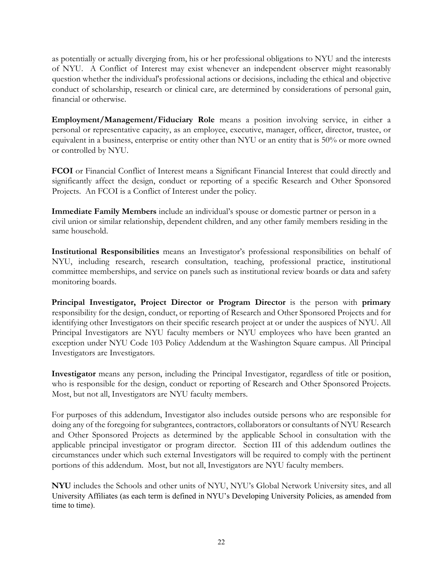as potentially or actually diverging from, his or her professional obligations to NYU and the interests of NYU. A Conflict of Interest may exist whenever an independent observer might reasonably question whether the individual's professional actions or decisions, including the ethical and objective conduct of scholarship, research or clinical care, are determined by considerations of personal gain, financial or otherwise.

**Employment/Management/Fiduciary Role** means a position involving service, in either a personal or representative capacity, as an employee, executive, manager, officer, director, trustee, or equivalent in a business, enterprise or entity other than NYU or an entity that is 50% or more owned or controlled by NYU.

**FCOI** or Financial Conflict of Interest means a Significant Financial Interest that could directly and significantly affect the design, conduct or reporting of a specific Research and Other Sponsored Projects. An FCOI is a Conflict of Interest under the policy.

**Immediate Family Members** include an individual's spouse or domestic partner or person in a civil union or similar relationship, dependent children, and any other family members residing in the same household.

**Institutional Responsibilities** means an Investigator's professional responsibilities on behalf of NYU, including research, research consultation, teaching, professional practice, institutional committee memberships, and service on panels such as institutional review boards or data and safety monitoring boards.

**Principal Investigator, Project Director or Program Director** is the person with **primary**  responsibility for the design, conduct, or reporting of Research and Other Sponsored Projects and for identifying other Investigators on their specific research project at or under the auspices of NYU. All Principal Investigators are NYU faculty members or NYU employees who have been granted an exception under NYU Code 103 Policy Addendum at the Washington Square campus. All Principal Investigators are Investigators.

**Investigator** means any person, including the Principal Investigator, regardless of title or position, who is responsible for the design, conduct or reporting of Research and Other Sponsored Projects. Most, but not all, Investigators are NYU faculty members.

For purposes of this addendum, Investigator also includes outside persons who are responsible for doing any of the foregoing for subgrantees, contractors, collaborators or consultants of NYU Research and Other Sponsored Projects as determined by the applicable School in consultation with the applicable principal investigator or program director. Section III of this addendum outlines the circumstances under which such external Investigators will be required to comply with the pertinent portions of this addendum. Most, but not all, Investigators are NYU faculty members.

**NYU** includes the Schools and other units of NYU, NYU's Global Network University sites, and all University Affiliates (as each term is defined in NYU's Developing University Policies, as amended from time to time).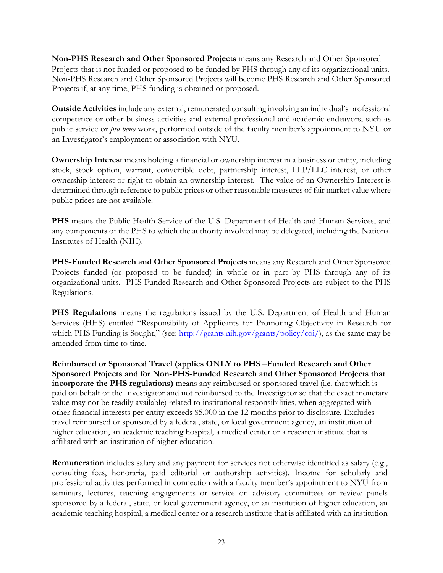**Non-PHS Research and Other Sponsored Projects** means any Research and Other Sponsored Projects that is not funded or proposed to be funded by PHS through any of its organizational units. Non-PHS Research and Other Sponsored Projects will become PHS Research and Other Sponsored Projects if, at any time, PHS funding is obtained or proposed.

**Outside Activities** include any external, remunerated consulting involving an individual's professional competence or other business activities and external professional and academic endeavors, such as public service or *pro bono* work, performed outside of the faculty member's appointment to NYU or an Investigator's employment or association with NYU.

**Ownership Interest** means holding a financial or ownership interest in a business or entity, including stock, stock option, warrant, convertible debt, partnership interest, LLP/LLC interest, or other ownership interest or right to obtain an ownership interest. The value of an Ownership Interest is determined through reference to public prices or other reasonable measures of fair market value where public prices are not available.

**PHS** means the Public Health Service of the U.S. Department of Health and Human Services, and any components of the PHS to which the authority involved may be delegated, including the National Institutes of Health (NIH).

**PHS-Funded Research and Other Sponsored Projects** means any Research and Other Sponsored Projects funded (or proposed to be funded) in whole or in part by PHS through any of its organizational units. PHS-Funded Research and Other Sponsored Projects are subject to the PHS Regulations.

**PHS Regulations** means the regulations issued by the U.S. Department of Health and Human Services (HHS) entitled "Responsibility of Applicants for Promoting Objectivity in Research for which PHS Funding is Sought," (see: http://grants.nih.gov/grants/policy/coi/), as the same may be amended from time to time.

**Reimbursed or Sponsored Travel (applies ONLY to PHS –Funded Research and Other Sponsored Projects and for Non-PHS-Funded Research and Other Sponsored Projects that incorporate the PHS regulations)** means any reimbursed or sponsored travel (i.e. that which is paid on behalf of the Investigator and not reimbursed to the Investigator so that the exact monetary value may not be readily available) related to institutional responsibilities, when aggregated with other financial interests per entity exceeds \$5,000 in the 12 months prior to disclosure. Excludes travel reimbursed or sponsored by a federal, state, or local government agency, an institution of higher education, an academic teaching hospital, a medical center or a research institute that is affiliated with an institution of higher education.

**Remuneration** includes salary and any payment for services not otherwise identified as salary (e.g., consulting fees, honoraria, paid editorial or authorship activities). Income for scholarly and professional activities performed in connection with a faculty member's appointment to NYU from seminars, lectures, teaching engagements or service on advisory committees or review panels sponsored by a federal, state, or local government agency, or an institution of higher education, an academic teaching hospital, a medical center or a research institute that is affiliated with an institution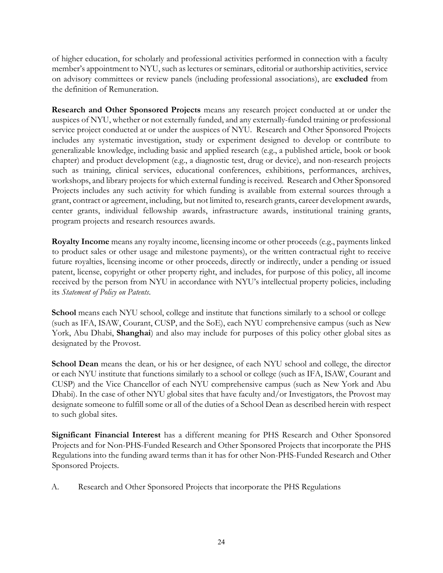of higher education, for scholarly and professional activities performed in connection with a faculty member's appointment to NYU, such as lectures or seminars, editorial or authorship activities, service on advisory committees or review panels (including professional associations), are **excluded** from the definition of Remuneration.

**Research and Other Sponsored Projects** means any research project conducted at or under the auspices of NYU, whether or not externally funded, and any externally-funded training or professional service project conducted at or under the auspices of NYU. Research and Other Sponsored Projects includes any systematic investigation, study or experiment designed to develop or contribute to generalizable knowledge, including basic and applied research (e.g., a published article, book or book chapter) and product development (e.g., a diagnostic test, drug or device), and non-research projects such as training, clinical services, educational conferences, exhibitions, performances, archives, workshops, and library projects for which external funding is received. Research and Other Sponsored Projects includes any such activity for which funding is available from external sources through a grant, contract or agreement, including, but not limited to, research grants, career development awards, center grants, individual fellowship awards, infrastructure awards, institutional training grants, program projects and research resources awards.

**Royalty Income** means any royalty income, licensing income or other proceeds (e.g., payments linked to product sales or other usage and milestone payments), or the written contractual right to receive future royalties, licensing income or other proceeds, directly or indirectly, under a pending or issued patent, license, copyright or other property right, and includes, for purpose of this policy, all income received by the person from NYU in accordance with NYU's intellectual property policies, including its *Statement of Policy on Patents*.

**School** means each NYU school, college and institute that functions similarly to a school or college (such as IFA, ISAW, Courant, CUSP, and the SoE), each NYU comprehensive campus (such as New York, Abu Dhabi, **Shanghai**) and also may include for purposes of this policy other global sites as designated by the Provost.

**School Dean** means the dean, or his or her designee, of each NYU school and college, the director or each NYU institute that functions similarly to a school or college (such as IFA, ISAW, Courant and CUSP) and the Vice Chancellor of each NYU comprehensive campus (such as New York and Abu Dhabi). In the case of other NYU global sites that have faculty and/or Investigators, the Provost may designate someone to fulfill some or all of the duties of a School Dean as described herein with respect to such global sites.

**Significant Financial Interest** has a different meaning for PHS Research and Other Sponsored Projects and for Non-PHS-Funded Research and Other Sponsored Projects that incorporate the PHS Regulations into the funding award terms than it has for other Non-PHS-Funded Research and Other Sponsored Projects.

A. Research and Other Sponsored Projects that incorporate the PHS Regulations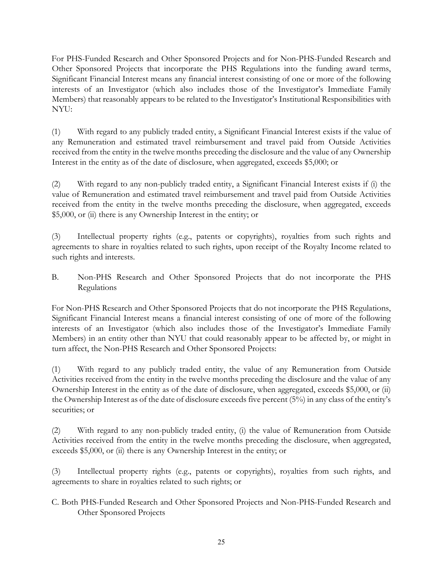For PHS-Funded Research and Other Sponsored Projects and for Non-PHS-Funded Research and Other Sponsored Projects that incorporate the PHS Regulations into the funding award terms, Significant Financial Interest means any financial interest consisting of one or more of the following interests of an Investigator (which also includes those of the Investigator's Immediate Family Members) that reasonably appears to be related to the Investigator's Institutional Responsibilities with NYU:

(1) With regard to any publicly traded entity, a Significant Financial Interest exists if the value of any Remuneration and estimated travel reimbursement and travel paid from Outside Activities received from the entity in the twelve months preceding the disclosure and the value of any Ownership Interest in the entity as of the date of disclosure, when aggregated, exceeds \$5,000; or

(2) With regard to any non-publicly traded entity, a Significant Financial Interest exists if (i) the value of Remuneration and estimated travel reimbursement and travel paid from Outside Activities received from the entity in the twelve months preceding the disclosure, when aggregated, exceeds \$5,000, or (ii) there is any Ownership Interest in the entity; or

(3) Intellectual property rights (e.g., patents or copyrights), royalties from such rights and agreements to share in royalties related to such rights, upon receipt of the Royalty Income related to such rights and interests.

B. Non-PHS Research and Other Sponsored Projects that do not incorporate the PHS Regulations

For Non-PHS Research and Other Sponsored Projects that do not incorporate the PHS Regulations, Significant Financial Interest means a financial interest consisting of one of more of the following interests of an Investigator (which also includes those of the Investigator's Immediate Family Members) in an entity other than NYU that could reasonably appear to be affected by, or might in turn affect, the Non-PHS Research and Other Sponsored Projects:

(1) With regard to any publicly traded entity, the value of any Remuneration from Outside Activities received from the entity in the twelve months preceding the disclosure and the value of any Ownership Interest in the entity as of the date of disclosure, when aggregated, exceeds \$5,000, or (ii) the Ownership Interest as of the date of disclosure exceeds five percent (5%) in any class of the entity's securities; or

(2) With regard to any non-publicly traded entity, (i) the value of Remuneration from Outside Activities received from the entity in the twelve months preceding the disclosure, when aggregated, exceeds \$5,000, or (ii) there is any Ownership Interest in the entity; or

(3) Intellectual property rights (e.g., patents or copyrights), royalties from such rights, and agreements to share in royalties related to such rights; or

C. Both PHS-Funded Research and Other Sponsored Projects and Non-PHS-Funded Research and Other Sponsored Projects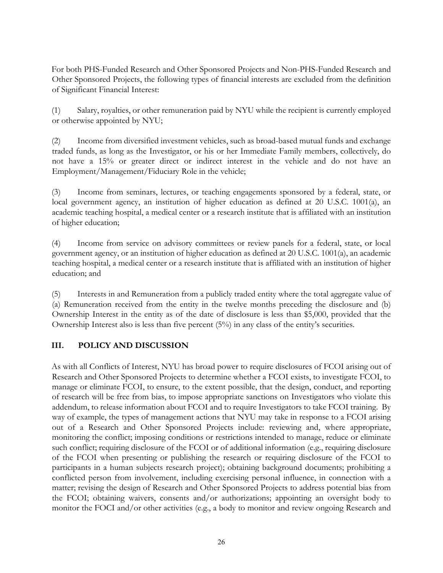For both PHS-Funded Research and Other Sponsored Projects and Non-PHS-Funded Research and Other Sponsored Projects, the following types of financial interests are excluded from the definition of Significant Financial Interest:

(1) Salary, royalties, or other remuneration paid by NYU while the recipient is currently employed or otherwise appointed by NYU;

(2) Income from diversified investment vehicles, such as broad-based mutual funds and exchange traded funds, as long as the Investigator, or his or her Immediate Family members, collectively, do not have a 15% or greater direct or indirect interest in the vehicle and do not have an Employment/Management/Fiduciary Role in the vehicle;

(3) Income from seminars, lectures, or teaching engagements sponsored by a federal, state, or local government agency, an institution of higher education as defined at 20 U.S.C. 1001(a), an academic teaching hospital, a medical center or a research institute that is affiliated with an institution of higher education;

(4) Income from service on advisory committees or review panels for a federal, state, or local government agency, or an institution of higher education as defined at 20 U.S.C. 1001(a), an academic teaching hospital, a medical center or a research institute that is affiliated with an institution of higher education; and

(5) Interests in and Remuneration from a publicly traded entity where the total aggregate value of (a) Remuneration received from the entity in the twelve months preceding the disclosure and (b) Ownership Interest in the entity as of the date of disclosure is less than \$5,000, provided that the Ownership Interest also is less than five percent (5%) in any class of the entity's securities.

# **III. POLICY AND DISCUSSION**

As with all Conflicts of Interest, NYU has broad power to require disclosures of FCOI arising out of Research and Other Sponsored Projects to determine whether a FCOI exists, to investigate FCOI, to manage or eliminate FCOI, to ensure, to the extent possible, that the design, conduct, and reporting of research will be free from bias, to impose appropriate sanctions on Investigators who violate this addendum, to release information about FCOI and to require Investigators to take FCOI training. By way of example, the types of management actions that NYU may take in response to a FCOI arising out of a Research and Other Sponsored Projects include: reviewing and, where appropriate, monitoring the conflict; imposing conditions or restrictions intended to manage, reduce or eliminate such conflict; requiring disclosure of the FCOI or of additional information (e.g., requiring disclosure of the FCOI when presenting or publishing the research or requiring disclosure of the FCOI to participants in a human subjects research project); obtaining background documents; prohibiting a conflicted person from involvement, including exercising personal influence, in connection with a matter; revising the design of Research and Other Sponsored Projects to address potential bias from the FCOI; obtaining waivers, consents and/or authorizations; appointing an oversight body to monitor the FOCI and/or other activities (e.g., a body to monitor and review ongoing Research and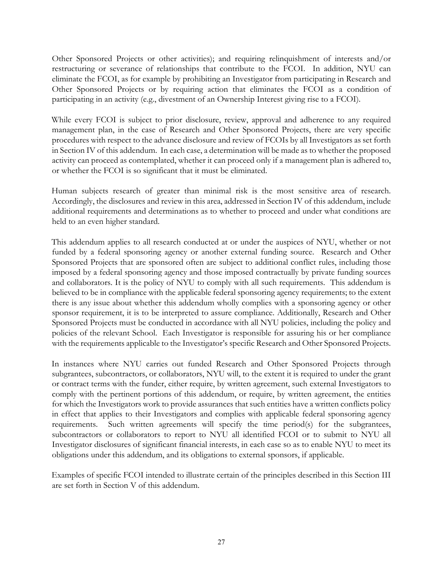Other Sponsored Projects or other activities); and requiring relinquishment of interests and/or restructuring or severance of relationships that contribute to the FCOI. In addition, NYU can eliminate the FCOI, as for example by prohibiting an Investigator from participating in Research and Other Sponsored Projects or by requiring action that eliminates the FCOI as a condition of participating in an activity (e.g., divestment of an Ownership Interest giving rise to a FCOI).

While every FCOI is subject to prior disclosure, review, approval and adherence to any required management plan, in the case of Research and Other Sponsored Projects, there are very specific procedures with respect to the advance disclosure and review of FCOIs by all Investigators as set forth in Section IV of this addendum. In each case, a determination will be made as to whether the proposed activity can proceed as contemplated, whether it can proceed only if a management plan is adhered to, or whether the FCOI is so significant that it must be eliminated.

Human subjects research of greater than minimal risk is the most sensitive area of research. Accordingly, the disclosures and review in this area, addressed in Section IV of this addendum, include additional requirements and determinations as to whether to proceed and under what conditions are held to an even higher standard.

This addendum applies to all research conducted at or under the auspices of NYU, whether or not funded by a federal sponsoring agency or another external funding source. Research and Other Sponsored Projects that are sponsored often are subject to additional conflict rules, including those imposed by a federal sponsoring agency and those imposed contractually by private funding sources and collaborators. It is the policy of NYU to comply with all such requirements. This addendum is believed to be in compliance with the applicable federal sponsoring agency requirements; to the extent there is any issue about whether this addendum wholly complies with a sponsoring agency or other sponsor requirement, it is to be interpreted to assure compliance. Additionally, Research and Other Sponsored Projects must be conducted in accordance with all NYU policies, including the policy and policies of the relevant School. Each Investigator is responsible for assuring his or her compliance with the requirements applicable to the Investigator's specific Research and Other Sponsored Projects.

In instances where NYU carries out funded Research and Other Sponsored Projects through subgrantees, subcontractors, or collaborators, NYU will, to the extent it is required to under the grant or contract terms with the funder, either require, by written agreement, such external Investigators to comply with the pertinent portions of this addendum, or require, by written agreement, the entities for which the Investigators work to provide assurances that such entities have a written conflicts policy in effect that applies to their Investigators and complies with applicable federal sponsoring agency requirements. Such written agreements will specify the time period(s) for the subgrantees, subcontractors or collaborators to report to NYU all identified FCOI or to submit to NYU all Investigator disclosures of significant financial interests, in each case so as to enable NYU to meet its obligations under this addendum, and its obligations to external sponsors, if applicable.

Examples of specific FCOI intended to illustrate certain of the principles described in this Section III are set forth in Section V of this addendum.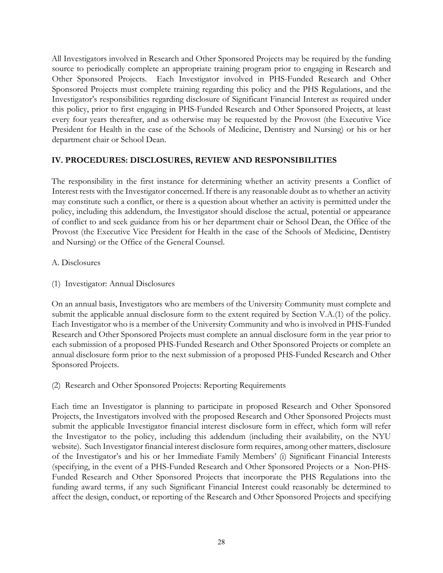All Investigators involved in Research and Other Sponsored Projects may be required by the funding source to periodically complete an appropriate training program prior to engaging in Research and Other Sponsored Projects. Each Investigator involved in PHS-Funded Research and Other Sponsored Projects must complete training regarding this policy and the PHS Regulations, and the Investigator's responsibilities regarding disclosure of Significant Financial Interest as required under this policy, prior to first engaging in PHS-Funded Research and Other Sponsored Projects, at least every four years thereafter, and as otherwise may be requested by the Provost (the Executive Vice President for Health in the case of the Schools of Medicine, Dentistry and Nursing) or his or her department chair or School Dean.

#### **IV. PROCEDURES: DISCLOSURES, REVIEW AND RESPONSIBILITIES**

The responsibility in the first instance for determining whether an activity presents a Conflict of Interest rests with the Investigator concerned. If there is any reasonable doubt as to whether an activity may constitute such a conflict, or there is a question about whether an activity is permitted under the policy, including this addendum, the Investigator should disclose the actual, potential or appearance of conflict to and seek guidance from his or her department chair or School Dean, the Office of the Provost (the Executive Vice President for Health in the case of the Schools of Medicine, Dentistry and Nursing) or the Office of the General Counsel.

#### A. Disclosures

(1) Investigator: Annual Disclosures

On an annual basis, Investigators who are members of the University Community must complete and submit the applicable annual disclosure form to the extent required by Section V.A.(1) of the policy. Each Investigator who is a member of the University Community and who is involved in PHS-Funded Research and Other Sponsored Projects must complete an annual disclosure form in the year prior to each submission of a proposed PHS-Funded Research and Other Sponsored Projects or complete an annual disclosure form prior to the next submission of a proposed PHS-Funded Research and Other Sponsored Projects.

(2) Research and Other Sponsored Projects: Reporting Requirements

Each time an Investigator is planning to participate in proposed Research and Other Sponsored Projects, the Investigators involved with the proposed Research and Other Sponsored Projects must submit the applicable Investigator financial interest disclosure form in effect, which form will refer the Investigator to the policy, including this addendum (including their availability, on the NYU website). Such Investigator financial interest disclosure form requires, among other matters, disclosure of the Investigator's and his or her Immediate Family Members' (i) Significant Financial Interests (specifying, in the event of a PHS-Funded Research and Other Sponsored Projects or a Non-PHS-Funded Research and Other Sponsored Projects that incorporate the PHS Regulations into the funding award terms, if any such Significant Financial Interest could reasonably be determined to affect the design, conduct, or reporting of the Research and Other Sponsored Projects and specifying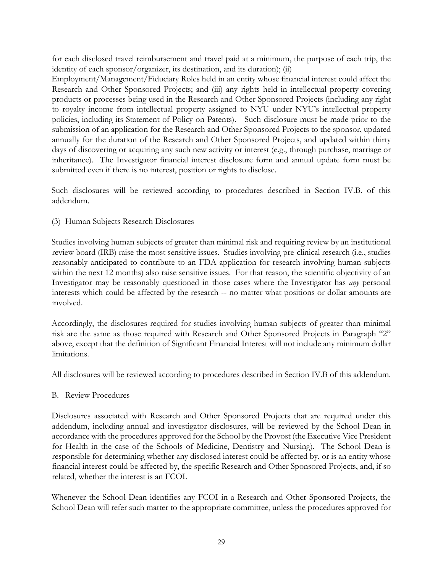for each disclosed travel reimbursement and travel paid at a minimum, the purpose of each trip, the identity of each sponsor/organizer, its destination, and its duration); (ii)

Employment/Management/Fiduciary Roles held in an entity whose financial interest could affect the Research and Other Sponsored Projects; and (iii) any rights held in intellectual property covering products or processes being used in the Research and Other Sponsored Projects (including any right to royalty income from intellectual property assigned to NYU under NYU's intellectual property policies, including its Statement of Policy on Patents). Such disclosure must be made prior to the submission of an application for the Research and Other Sponsored Projects to the sponsor, updated annually for the duration of the Research and Other Sponsored Projects, and updated within thirty days of discovering or acquiring any such new activity or interest (e.g., through purchase, marriage or inheritance). The Investigator financial interest disclosure form and annual update form must be submitted even if there is no interest, position or rights to disclose.

Such disclosures will be reviewed according to procedures described in Section IV.B. of this addendum.

(3) Human Subjects Research Disclosures

Studies involving human subjects of greater than minimal risk and requiring review by an institutional review board (IRB) raise the most sensitive issues. Studies involving pre-clinical research (i.e., studies reasonably anticipated to contribute to an FDA application for research involving human subjects within the next 12 months) also raise sensitive issues. For that reason, the scientific objectivity of an Investigator may be reasonably questioned in those cases where the Investigator has *any* personal interests which could be affected by the research -- no matter what positions or dollar amounts are involved.

Accordingly, the disclosures required for studies involving human subjects of greater than minimal risk are the same as those required with Research and Other Sponsored Projects in Paragraph "2" above, except that the definition of Significant Financial Interest will not include any minimum dollar limitations.

All disclosures will be reviewed according to procedures described in Section IV.B of this addendum.

#### B. Review Procedures

Disclosures associated with Research and Other Sponsored Projects that are required under this addendum, including annual and investigator disclosures, will be reviewed by the School Dean in accordance with the procedures approved for the School by the Provost (the Executive Vice President for Health in the case of the Schools of Medicine, Dentistry and Nursing). The School Dean is responsible for determining whether any disclosed interest could be affected by, or is an entity whose financial interest could be affected by, the specific Research and Other Sponsored Projects, and, if so related, whether the interest is an FCOI.

Whenever the School Dean identifies any FCOI in a Research and Other Sponsored Projects, the School Dean will refer such matter to the appropriate committee, unless the procedures approved for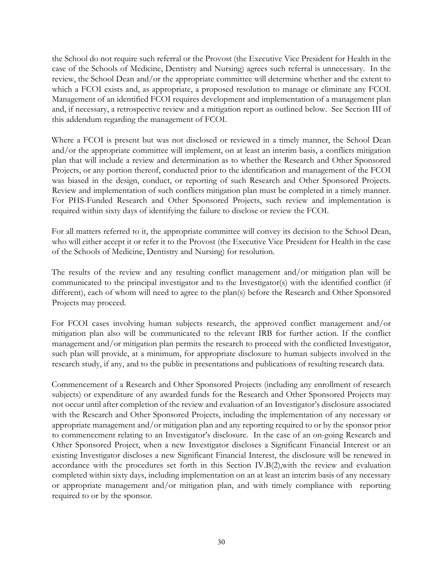the School do not require such referral or the Provost (the Executive Vice President for Health in the case of the Schools of Medicine, Dentistry and Nursing) agrees such referral is unnecessary. In the review, the School Dean and/or the appropriate committee will determine whether and the extent to which a FCOI exists and, as appropriate, a proposed resolution to manage or eliminate any FCOI. Management of an identified FCOI requires development and implementation of a management plan and, if necessary, a retrospective review and a mitigation report as outlined below. See Section III of this addendum regarding the management of FCOI.

Where a FCOI is present but was not disclosed or reviewed in a timely manner, the School Dean and/or the appropriate committee will implement, on at least an interim basis, a conflicts mitigation plan that will include a review and determination as to whether the Research and Other Sponsored Projects, or any portion thereof, conducted prior to the identification and management of the FCOI was biased in the design, conduct, or reporting of such Research and Other Sponsored Projects. Review and implementation of such conflicts mitigation plan must be completed in a timely manner. For PHS-Funded Research and Other Sponsored Projects, such review and implementation is required within sixty days of identifying the failure to disclose or review the FCOI.

For all matters referred to it, the appropriate committee will convey its decision to the School Dean, who will either accept it or refer it to the Provost (the Executive Vice President for Health in the case of the Schools of Medicine, Dentistry and Nursing) for resolution.

The results of the review and any resulting conflict management and/or mitigation plan will be communicated to the principal investigator and to the Investigator(s) with the identified conflict (if different), each of whom will need to agree to the plan(s) before the Research and Other Sponsored Projects may proceed.

For FCOI cases involving human subjects research, the approved conflict management and/or mitigation plan also will be communicated to the relevant IRB for further action. If the conflict management and/or mitigation plan permits the research to proceed with the conflicted Investigator, such plan will provide, at a minimum, for appropriate disclosure to human subjects involved in the research study, if any, and to the public in presentations and publications of resulting research data.

Commencement of a Research and Other Sponsored Projects (including any enrollment of research subjects) or expenditure of any awarded funds for the Research and Other Sponsored Projects may not occur until after completion of the review and evaluation of an Investigator's disclosure associated with the Research and Other Sponsored Projects, including the implementation of any necessary or appropriate management and/or mitigation plan and any reporting required to or by the sponsor prior to commencement relating to an Investigator's disclosure. In the case of an on-going Research and Other Sponsored Project, when a new Investigator discloses a Significant Financial Interest or an existing Investigator discloses a new Significant Financial Interest, the disclosure will be renewed in accordance with the procedures set forth in this Section IV.B(2),with the review and evaluation completed within sixty days, including implementation on an at least an interim basis of any necessary or appropriate management and/or mitigation plan, and with timely compliance with reporting required to or by the sponsor.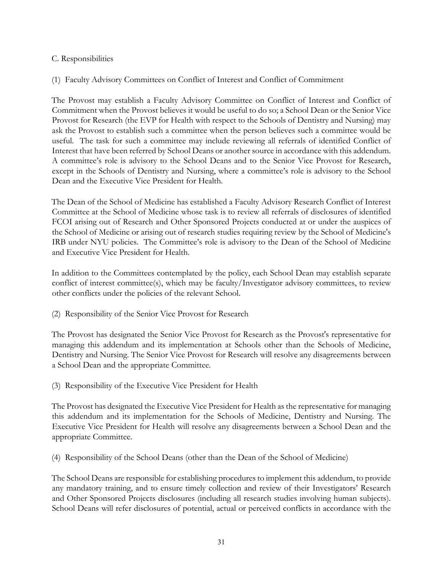#### C. Responsibilities

#### (1) Faculty Advisory Committees on Conflict of Interest and Conflict of Commitment

The Provost may establish a Faculty Advisory Committee on Conflict of Interest and Conflict of Commitment when the Provost believes it would be useful to do so; a School Dean or the Senior Vice Provost for Research (the EVP for Health with respect to the Schools of Dentistry and Nursing) may ask the Provost to establish such a committee when the person believes such a committee would be useful. The task for such a committee may include reviewing all referrals of identified Conflict of Interest that have been referred by School Deans or another source in accordance with this addendum. A committee's role is advisory to the School Deans and to the Senior Vice Provost for Research, except in the Schools of Dentistry and Nursing, where a committee's role is advisory to the School Dean and the Executive Vice President for Health.

The Dean of the School of Medicine has established a Faculty Advisory Research Conflict of Interest Committee at the School of Medicine whose task is to review all referrals of disclosures of identified FCOI arising out of Research and Other Sponsored Projects conducted at or under the auspices of the School of Medicine or arising out of research studies requiring review by the School of Medicine's IRB under NYU policies. The Committee's role is advisory to the Dean of the School of Medicine and Executive Vice President for Health.

In addition to the Committees contemplated by the policy, each School Dean may establish separate conflict of interest committee(s), which may be faculty/Investigator advisory committees, to review other conflicts under the policies of the relevant School.

(2) Responsibility of the Senior Vice Provost for Research

The Provost has designated the Senior Vice Provost for Research as the Provost's representative for managing this addendum and its implementation at Schools other than the Schools of Medicine, Dentistry and Nursing. The Senior Vice Provost for Research will resolve any disagreements between a School Dean and the appropriate Committee.

(3) Responsibility of the Executive Vice President for Health

The Provost has designated the Executive Vice President for Health as the representative for managing this addendum and its implementation for the Schools of Medicine, Dentistry and Nursing. The Executive Vice President for Health will resolve any disagreements between a School Dean and the appropriate Committee.

(4) Responsibility of the School Deans (other than the Dean of the School of Medicine)

The School Deans are responsible for establishing procedures to implement this addendum, to provide any mandatory training, and to ensure timely collection and review of their Investigators' Research and Other Sponsored Projects disclosures (including all research studies involving human subjects). School Deans will refer disclosures of potential, actual or perceived conflicts in accordance with the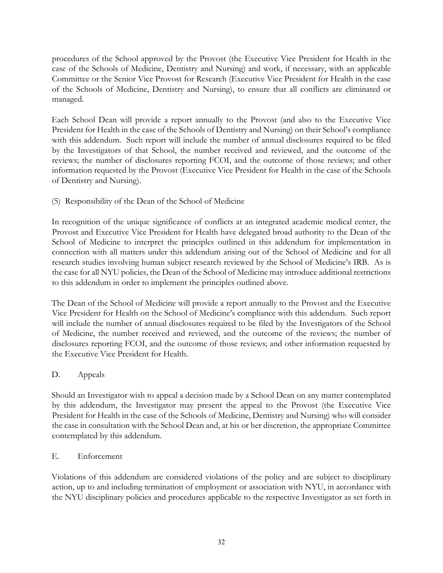procedures of the School approved by the Provost (the Executive Vice President for Health in the case of the Schools of Medicine, Dentistry and Nursing) and work, if necessary, with an applicable Committee or the Senior Vice Provost for Research (Executive Vice President for Health in the case of the Schools of Medicine, Dentistry and Nursing), to ensure that all conflicts are eliminated or managed.

Each School Dean will provide a report annually to the Provost (and also to the Executive Vice President for Health in the case of the Schools of Dentistry and Nursing) on their School's compliance with this addendum. Such report will include the number of annual disclosures required to be filed by the Investigators of that School, the number received and reviewed, and the outcome of the reviews; the number of disclosures reporting FCOI, and the outcome of those reviews; and other information requested by the Provost (Executive Vice President for Health in the case of the Schools of Dentistry and Nursing).

(5) Responsibility of the Dean of the School of Medicine

In recognition of the unique significance of conflicts at an integrated academic medical center, the Provost and Executive Vice President for Health have delegated broad authority to the Dean of the School of Medicine to interpret the principles outlined in this addendum for implementation in connection with all matters under this addendum arising out of the School of Medicine and for all research studies involving human subject research reviewed by the School of Medicine's IRB. As is the case for all NYU policies, the Dean of the School of Medicine may introduce additional restrictions to this addendum in order to implement the principles outlined above.

The Dean of the School of Medicine will provide a report annually to the Provost and the Executive Vice President for Health on the School of Medicine's compliance with this addendum. Such report will include the number of annual disclosures required to be filed by the Investigators of the School of Medicine, the number received and reviewed, and the outcome of the reviews; the number of disclosures reporting FCOI, and the outcome of those reviews; and other information requested by the Executive Vice President for Health.

# D. Appeals

Should an Investigator wish to appeal a decision made by a School Dean on any matter contemplated by this addendum, the Investigator may present the appeal to the Provost (the Executive Vice President for Health in the case of the Schools of Medicine, Dentistry and Nursing) who will consider the case in consultation with the School Dean and, at his or her discretion, the appropriate Committee contemplated by this addendum.

#### E. Enforcement

Violations of this addendum are considered violations of the policy and are subject to disciplinary action, up to and including termination of employment or association with NYU, in accordance with the NYU disciplinary policies and procedures applicable to the respective Investigator as set forth in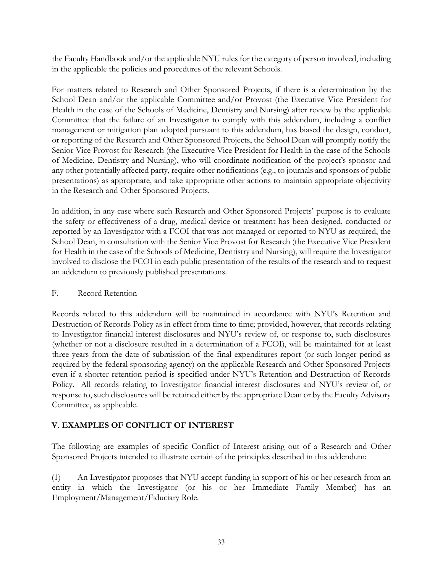the Faculty Handbook and/or the applicable NYU rules for the category of person involved, including in the applicable the policies and procedures of the relevant Schools.

For matters related to Research and Other Sponsored Projects, if there is a determination by the School Dean and/or the applicable Committee and/or Provost (the Executive Vice President for Health in the case of the Schools of Medicine, Dentistry and Nursing) after review by the applicable Committee that the failure of an Investigator to comply with this addendum, including a conflict management or mitigation plan adopted pursuant to this addendum, has biased the design, conduct, or reporting of the Research and Other Sponsored Projects, the School Dean will promptly notify the Senior Vice Provost for Research (the Executive Vice President for Health in the case of the Schools of Medicine, Dentistry and Nursing), who will coordinate notification of the project's sponsor and any other potentially affected party, require other notifications (e.g., to journals and sponsors of public presentations) as appropriate, and take appropriate other actions to maintain appropriate objectivity in the Research and Other Sponsored Projects.

In addition, in any case where such Research and Other Sponsored Projects' purpose is to evaluate the safety or effectiveness of a drug, medical device or treatment has been designed, conducted or reported by an Investigator with a FCOI that was not managed or reported to NYU as required, the School Dean, in consultation with the Senior Vice Provost for Research (the Executive Vice President for Health in the case of the Schools of Medicine, Dentistry and Nursing), will require the Investigator involved to disclose the FCOI in each public presentation of the results of the research and to request an addendum to previously published presentations.

#### F. Record Retention

Records related to this addendum will be maintained in accordance with NYU's Retention and Destruction of Records Policy as in effect from time to time; provided, however, that records relating to Investigator financial interest disclosures and NYU's review of, or response to, such disclosures (whether or not a disclosure resulted in a determination of a FCOI), will be maintained for at least three years from the date of submission of the final expenditures report (or such longer period as required by the federal sponsoring agency) on the applicable Research and Other Sponsored Projects even if a shorter retention period is specified under NYU's Retention and Destruction of Records Policy. All records relating to Investigator financial interest disclosures and NYU's review of, or response to, such disclosures will be retained either by the appropriate Dean or by the Faculty Advisory Committee, as applicable.

# **V. EXAMPLES OF CONFLICT OF INTEREST**

The following are examples of specific Conflict of Interest arising out of a Research and Other Sponsored Projects intended to illustrate certain of the principles described in this addendum:

(1) An Investigator proposes that NYU accept funding in support of his or her research from an entity in which the Investigator (or his or her Immediate Family Member) has an Employment/Management/Fiduciary Role.